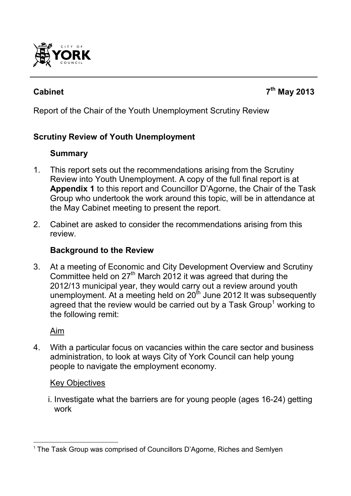

## **Cabinet 7**

Report of the Chair of the Youth Unemployment Scrutiny Review

## **Scrutiny Review of Youth Unemployment**

## **Summary**

- 1. This report sets out the recommendations arising from the Scrutiny Review into Youth Unemployment. A copy of the full final report is at **Appendix 1** to this report and Councillor D'Agorne, the Chair of the Task Group who undertook the work around this topic, will be in attendance at the May Cabinet meeting to present the report.
- 2. Cabinet are asked to consider the recommendations arising from this review.

### **Background to the Review**

3. At a meeting of Economic and City Development Overview and Scrutiny Committee held on 27<sup>th</sup> March 2012 it was agreed that during the 2012/13 municipal year, they would carry out a review around youth unemployment. At a meeting held on  $20^{th}$  June 2012 It was subsequently agreed that the review would be carried out by a Task Group<sup>1</sup> working to the following remit:

Aim

4. With a particular focus on vacancies within the care sector and business administration, to look at ways City of York Council can help young people to navigate the employment economy.

#### Key Objectives

i. Investigate what the barriers are for young people (ages 16-24) getting work

 $\overline{a}$ <sup>1</sup> The Task Group was comprised of Councillors D'Agorne, Riches and Semlyen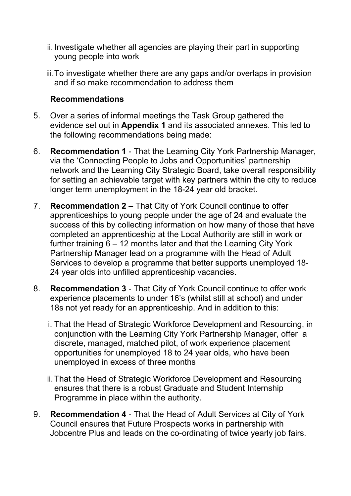- ii. Investigate whether all agencies are playing their part in supporting young people into work
- iii. To investigate whether there are any gaps and/or overlaps in provision and if so make recommendation to address them

#### **Recommendations**

- 5. Over a series of informal meetings the Task Group gathered the evidence set out in **Appendix 1** and its associated annexes. This led to the following recommendations being made:
- 6. **Recommendation 1** That the Learning City York Partnership Manager, via the 'Connecting People to Jobs and Opportunities' partnership network and the Learning City Strategic Board, take overall responsibility for setting an achievable target with key partners within the city to reduce longer term unemployment in the 18-24 year old bracket.
- 7. **Recommendation 2** That City of York Council continue to offer apprenticeships to young people under the age of 24 and evaluate the success of this by collecting information on how many of those that have completed an apprenticeship at the Local Authority are still in work or further training 6 – 12 months later and that the Learning City York Partnership Manager lead on a programme with the Head of Adult Services to develop a programme that better supports unemployed 18-24 year olds into unfilled apprenticeship vacancies.
- 8. **Recommendation 3** That City of York Council continue to offer work experience placements to under 16's (whilst still at school) and under 18s not yet ready for an apprenticeship. And in addition to this:
	- i. That the Head of Strategic Workforce Development and Resourcing, in conjunction with the Learning City York Partnership Manager, offer a discrete, managed, matched pilot, of work experience placement opportunities for unemployed 18 to 24 year olds, who have been unemployed in excess of three months
	- ii. That the Head of Strategic Workforce Development and Resourcing ensures that there is a robust Graduate and Student Internship Programme in place within the authority.
- 9. **Recommendation 4** That the Head of Adult Services at City of York Council ensures that Future Prospects works in partnership with Jobcentre Plus and leads on the co-ordinating of twice yearly job fairs.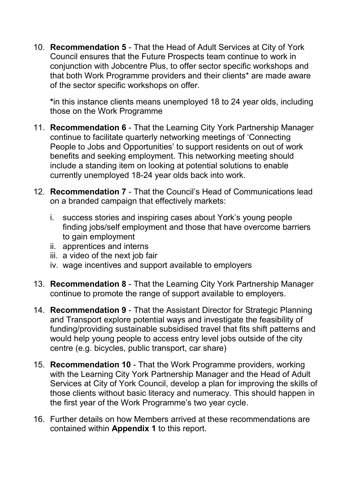10. **Recommendation 5** - That the Head of Adult Services at City of York Council ensures that the Future Prospects team continue to work in conjunction with Jobcentre Plus, to offer sector specific workshops and that both Work Programme providers and their clients\* are made aware of the sector specific workshops on offer.

**\***in this instance clients means unemployed 18 to 24 year olds, including those on the Work Programme

- 11. **Recommendation 6** That the Learning City York Partnership Manager continue to facilitate quarterly networking meetings of 'Connecting People to Jobs and Opportunities' to support residents on out of work benefits and seeking employment. This networking meeting should include a standing item on looking at potential solutions to enable currently unemployed 18-24 year olds back into work.
- 12. **Recommendation 7** That the Council's Head of Communications lead on a branded campaign that effectively markets:
	- i. success stories and inspiring cases about York's young people finding jobs/self employment and those that have overcome barriers to gain employment
	- ii. apprentices and interns
	- iii. a video of the next job fair
	- iv. wage incentives and support available to employers
- 13. **Recommendation 8** That the Learning City York Partnership Manager continue to promote the range of support available to employers.
- 14. **Recommendation 9** That the Assistant Director for Strategic Planning and Transport explore potential ways and investigate the feasibility of funding/providing sustainable subsidised travel that fits shift patterns and would help young people to access entry level jobs outside of the city centre (e.g. bicycles, public transport, car share)
- 15. **Recommendation 10** That the Work Programme providers, working with the Learning City York Partnership Manager and the Head of Adult Services at City of York Council, develop a plan for improving the skills of those clients without basic literacy and numeracy. This should happen in the first year of the Work Programme's two year cycle.
- 16. Further details on how Members arrived at these recommendations are contained within **Appendix 1** to this report.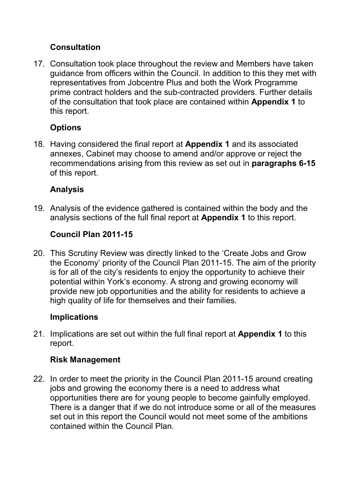## **Consultation**

17. Consultation took place throughout the review and Members have taken guidance from officers within the Council. In addition to this they met with representatives from Jobcentre Plus and both the Work Programme prime contract holders and the sub-contracted providers. Further details of the consultation that took place are contained within **Appendix 1** to this report.

# **Options**

18. Having considered the final report at **Appendix 1** and its associated annexes, Cabinet may choose to amend and/or approve or reject the recommendations arising from this review as set out in **paragraphs 6-15** of this report.

# **Analysis**

19. Analysis of the evidence gathered is contained within the body and the analysis sections of the full final report at **Appendix 1** to this report.

# **Council Plan 2011-15**

20. This Scrutiny Review was directly linked to the 'Create Jobs and Grow the Economy' priority of the Council Plan 2011-15. The aim of the priority is for all of the city's residents to enjoy the opportunity to achieve their potential within York's economy. A strong and growing economy will provide new job opportunities and the ability for residents to achieve a high quality of life for themselves and their families.

### **Implications**

21. Implications are set out within the full final report at **Appendix 1** to this report.

### **Risk Management**

22. In order to meet the priority in the Council Plan 2011-15 around creating jobs and growing the economy there is a need to address what opportunities there are for young people to become gainfully employed. There is a danger that if we do not introduce some or all of the measures set out in this report the Council would not meet some of the ambitions contained within the Council Plan.